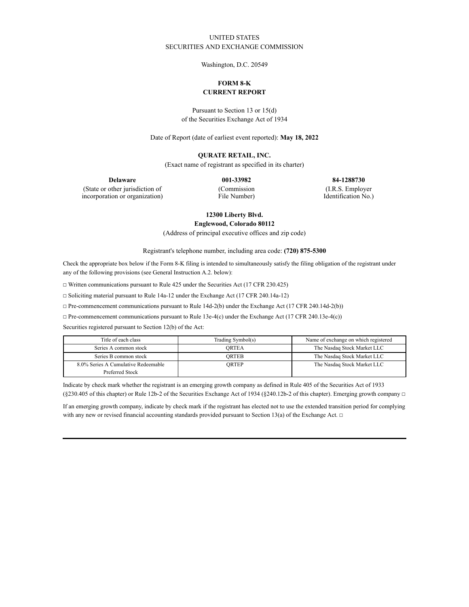## UNITED STATES SECURITIES AND EXCHANGE COMMISSION

Washington, D.C. 20549

# **FORM 8-K CURRENT REPORT**

Pursuant to Section 13 or 15(d) of the Securities Exchange Act of 1934

Date of Report (date of earliest event reported): **May 18, 2022**

### **QURATE RETAIL, INC.**

(Exact name of registrant as specified in its charter)

**Delaware 001-33982 84-1288730**

(State or other jurisdiction of incorporation or organization) (Commission File Number) (I.R.S. Employer

Identification No.)

**12300 Liberty Blvd.**

**Englewood, Colorado 80112**

(Address of principal executive offices and zip code)

Registrant's telephone number, including area code: **(720) 875-5300**

Check the appropriate box below if the Form 8-K filing is intended to simultaneously satisfy the filing obligation of the registrant under any of the following provisions (see General Instruction A.2. below):

☐ Written communications pursuant to Rule 425 under the Securities Act (17 CFR 230.425)

☐ Soliciting material pursuant to Rule 14a-12 under the Exchange Act (17 CFR 240.14a-12)

☐ Pre-commencement communications pursuant to Rule 14d-2(b) under the Exchange Act (17 CFR 240.14d-2(b))

☐ Pre-commencement communications pursuant to Rule 13e-4(c) under the Exchange Act (17 CFR 240.13e-4(c))

Securities registered pursuant to Section 12(b) of the Act:

| Title of each class                 | Trading Symbol(s) | Name of exchange on which registered |
|-------------------------------------|-------------------|--------------------------------------|
| Series A common stock               | ORTEA             | The Nasdaq Stock Market LLC          |
| Series B common stock               | ORTEB             | The Nasdaq Stock Market LLC          |
| 8.0% Series A Cumulative Redeemable | ORTEP             | The Nasdaq Stock Market LLC          |
| Preferred Stock                     |                   |                                      |

Indicate by check mark whether the registrant is an emerging growth company as defined in Rule 405 of the Securities Act of 1933 (§230.405 of this chapter) or Rule 12b-2 of the Securities Exchange Act of 1934 (§240.12b-2 of this chapter). Emerging growth company  $\Box$ 

If an emerging growth company, indicate by check mark if the registrant has elected not to use the extended transition period for complying with any new or revised financial accounting standards provided pursuant to Section 13(a) of the Exchange Act.  $\Box$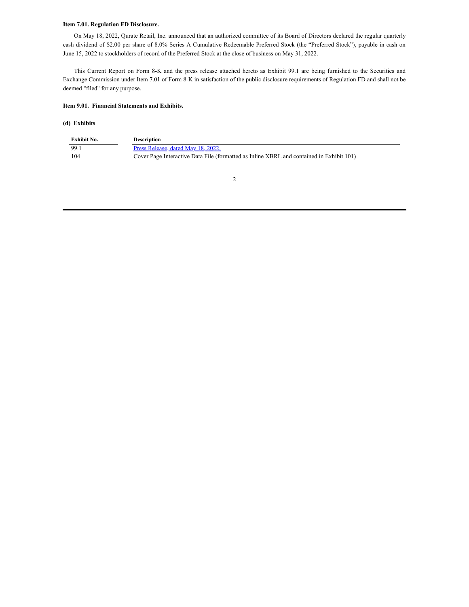### **Item 7.01. Regulation FD Disclosure.**

On May 18, 2022, Qurate Retail, Inc. announced that an authorized committee of its Board of Directors declared the regular quarterly cash dividend of \$2.00 per share of 8.0% Series A Cumulative Redeemable Preferred Stock (the "Preferred Stock"), payable in cash on June 15, 2022 to stockholders of record of the Preferred Stock at the close of business on May 31, 2022.

This Current Report on Form 8-K and the press release attached hereto as Exhibit 99.1 are being furnished to the Securities and Exchange Commission under Item 7.01 of Form 8-K in satisfaction of the public disclosure requirements of Regulation FD and shall not be deemed "filed" for any purpose.

#### **Item 9.01. Financial Statements and Exhibits.**

#### **(d) Exhibits**

| Exhibit No. | <b>Description</b>                                                                       |
|-------------|------------------------------------------------------------------------------------------|
| 99.1        | Press Release, dated May 18, 2022.                                                       |
| -104        | Cover Page Interactive Data File (formatted as Inline XBRL and contained in Exhibit 101) |

2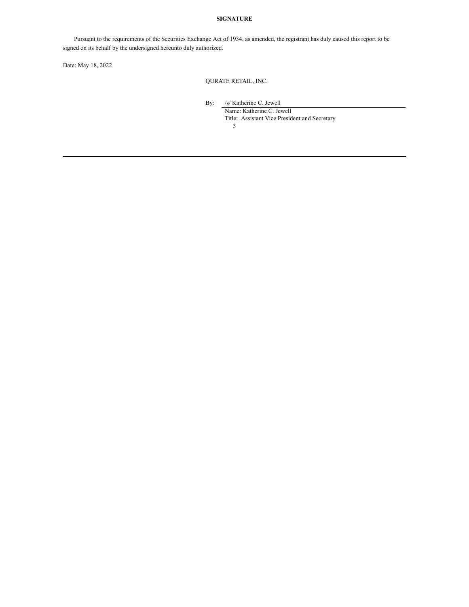### **SIGNATURE**

Pursuant to the requirements of the Securities Exchange Act of 1934, as amended, the registrant has duly caused this report to be signed on its behalf by the undersigned hereunto duly authorized.

Date: May 18, 2022

QURATE RETAIL, INC.

By: /s/ Katherine C. Jewell

Name: Katherine C. Jewell Title: Assistant Vice President and Secretary

3